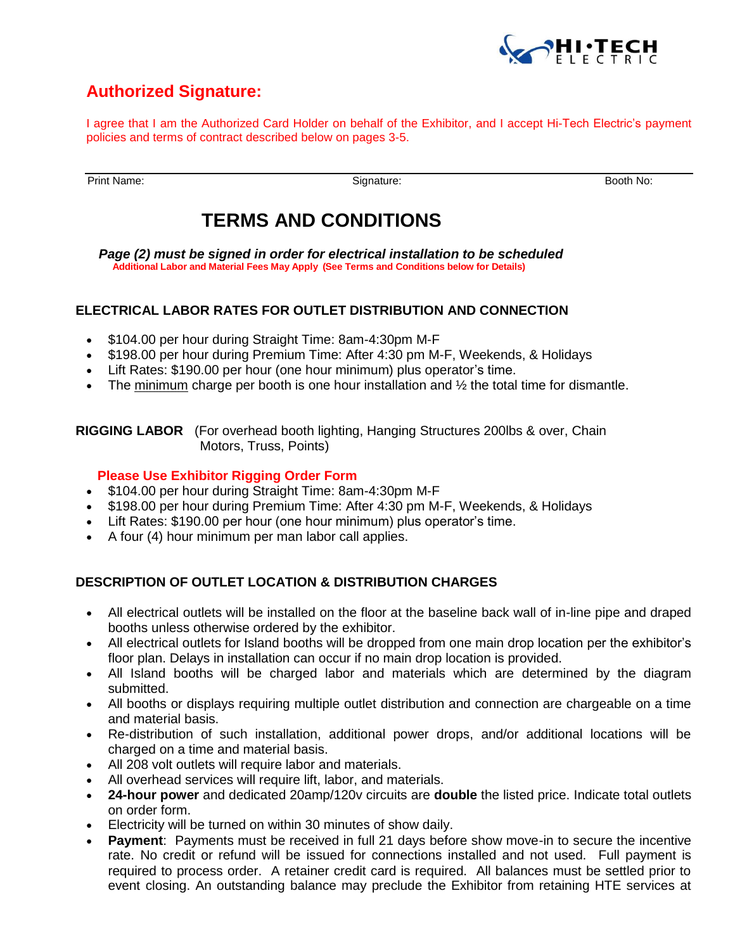

# **Authorized Signature:**

I agree that I am the Authorized Card Holder on behalf of the Exhibitor, and I accept Hi-Tech Electric's payment policies and terms of contract described below on pages 3-5.

Print Name:Signature: Booth No:

# **TERMS AND CONDITIONS**

*Page (2) must be signed in order for electrical installation to be scheduled*  **Additional Labor and Material Fees May Apply (See Terms and Conditions below for Details)**

# **ELECTRICAL LABOR RATES FOR OUTLET DISTRIBUTION AND CONNECTION**

- \$104.00 per hour during Straight Time: 8am-4:30pm M-F
- \$198.00 per hour during Premium Time: After 4:30 pm M-F, Weekends, & Holidays
- Lift Rates: \$190.00 per hour (one hour minimum) plus operator's time.
- The minimum charge per booth is one hour installation and  $\frac{1}{2}$  the total time for dismantle.

**RIGGING LABOR** (For overhead booth lighting, Hanging Structures 200lbs & over, Chain Motors, Truss, Points)

#### **Please Use Exhibitor Rigging Order Form**

- \$104.00 per hour during Straight Time: 8am-4:30pm M-F
- \$198.00 per hour during Premium Time: After 4:30 pm M-F, Weekends, & Holidays
- Lift Rates: \$190.00 per hour (one hour minimum) plus operator's time.
- A four (4) hour minimum per man labor call applies.

#### **DESCRIPTION OF OUTLET LOCATION & DISTRIBUTION CHARGES**

- All electrical outlets will be installed on the floor at the baseline back wall of in-line pipe and draped booths unless otherwise ordered by the exhibitor.
- All electrical outlets for Island booths will be dropped from one main drop location per the exhibitor's floor plan. Delays in installation can occur if no main drop location is provided.
- All Island booths will be charged labor and materials which are determined by the diagram submitted.
- All booths or displays requiring multiple outlet distribution and connection are chargeable on a time and material basis.
- Re-distribution of such installation, additional power drops, and/or additional locations will be charged on a time and material basis.
- All 208 volt outlets will require labor and materials.
- All overhead services will require lift, labor, and materials.
- **24-hour power** and dedicated 20amp/120v circuits are **double** the listed price. Indicate total outlets on order form.
- Electricity will be turned on within 30 minutes of show daily.
- **Payment**: Payments must be received in full 21 days before show move-in to secure the incentive rate. No credit or refund will be issued for connections installed and not used. Full payment is required to process order. A retainer credit card is required. All balances must be settled prior to event closing. An outstanding balance may preclude the Exhibitor from retaining HTE services at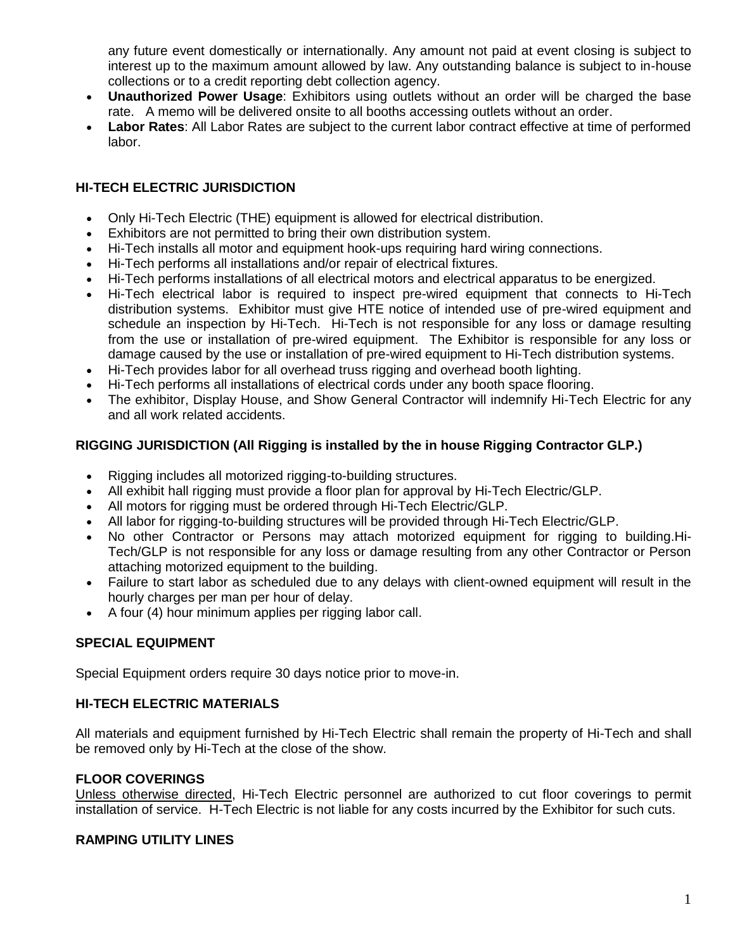any future event domestically or internationally. Any amount not paid at event closing is subject to interest up to the maximum amount allowed by law. Any outstanding balance is subject to in-house collections or to a credit reporting debt collection agency.

- **Unauthorized Power Usage**: Exhibitors using outlets without an order will be charged the base rate. A memo will be delivered onsite to all booths accessing outlets without an order.
- **Labor Rates**: All Labor Rates are subject to the current labor contract effective at time of performed labor.

# **HI-TECH ELECTRIC JURISDICTION**

- Only Hi-Tech Electric (THE) equipment is allowed for electrical distribution.
- Exhibitors are not permitted to bring their own distribution system.
- Hi-Tech installs all motor and equipment hook-ups requiring hard wiring connections.
- Hi-Tech performs all installations and/or repair of electrical fixtures.
- Hi-Tech performs installations of all electrical motors and electrical apparatus to be energized.
- Hi-Tech electrical labor is required to inspect pre-wired equipment that connects to Hi-Tech distribution systems. Exhibitor must give HTE notice of intended use of pre-wired equipment and schedule an inspection by Hi-Tech. Hi-Tech is not responsible for any loss or damage resulting from the use or installation of pre-wired equipment. The Exhibitor is responsible for any loss or damage caused by the use or installation of pre-wired equipment to Hi-Tech distribution systems.
- Hi-Tech provides labor for all overhead truss rigging and overhead booth lighting.
- Hi-Tech performs all installations of electrical cords under any booth space flooring.
- The exhibitor, Display House, and Show General Contractor will indemnify Hi-Tech Electric for any and all work related accidents.

# **RIGGING JURISDICTION (All Rigging is installed by the in house Rigging Contractor GLP.)**

- Rigging includes all motorized rigging-to-building structures.
- All exhibit hall rigging must provide a floor plan for approval by Hi-Tech Electric/GLP.
- All motors for rigging must be ordered through Hi-Tech Electric/GLP.
- All labor for rigging-to-building structures will be provided through Hi-Tech Electric/GLP.
- No other Contractor or Persons may attach motorized equipment for rigging to building.Hi-Tech/GLP is not responsible for any loss or damage resulting from any other Contractor or Person attaching motorized equipment to the building.
- Failure to start labor as scheduled due to any delays with client-owned equipment will result in the hourly charges per man per hour of delay.
- A four (4) hour minimum applies per rigging labor call.

#### **SPECIAL EQUIPMENT**

Special Equipment orders require 30 days notice prior to move-in.

#### **HI-TECH ELECTRIC MATERIALS**

All materials and equipment furnished by Hi-Tech Electric shall remain the property of Hi-Tech and shall be removed only by Hi-Tech at the close of the show.

#### **FLOOR COVERINGS**

Unless otherwise directed, Hi-Tech Electric personnel are authorized to cut floor coverings to permit installation of service. H-Tech Electric is not liable for any costs incurred by the Exhibitor for such cuts.

#### **RAMPING UTILITY LINES**